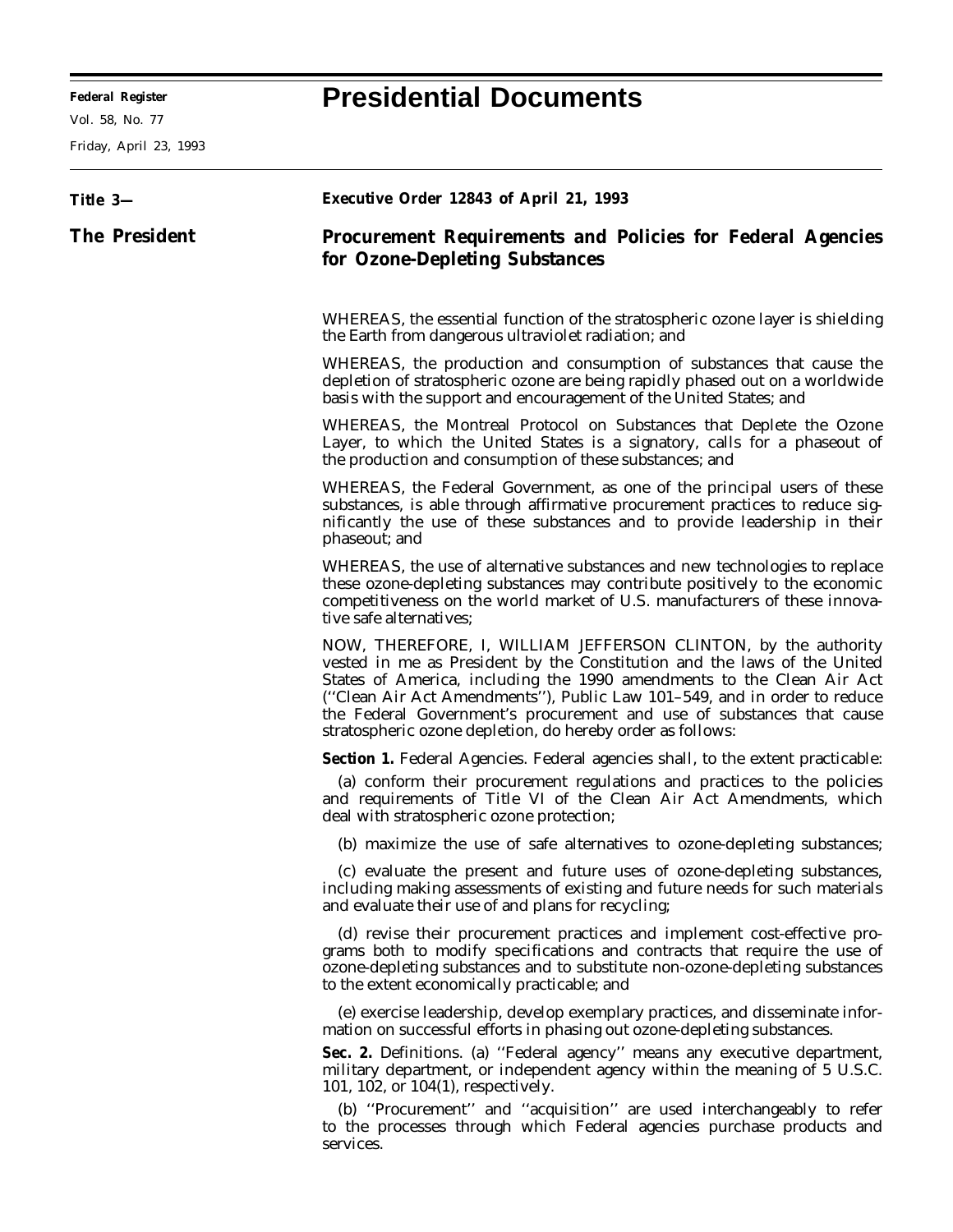Friday, April 23, 1993

## **Federal Register Presidential Documents**

| Title 3-             | <b>Executive Order 12843 of April 21, 1993</b>                                                                                                                                                                                                                                                                                                                                                                                         |
|----------------------|----------------------------------------------------------------------------------------------------------------------------------------------------------------------------------------------------------------------------------------------------------------------------------------------------------------------------------------------------------------------------------------------------------------------------------------|
| <b>The President</b> | <b>Procurement Requirements and Policies for Federal Agencies</b><br>for Ozone-Depleting Substances                                                                                                                                                                                                                                                                                                                                    |
|                      | WHEREAS, the essential function of the stratospheric ozone layer is shielding<br>the Earth from dangerous ultraviolet radiation; and                                                                                                                                                                                                                                                                                                   |
|                      | WHEREAS, the production and consumption of substances that cause the<br>depletion of stratospheric ozone are being rapidly phased out on a worldwide<br>basis with the support and encouragement of the United States; and                                                                                                                                                                                                             |
|                      | WHEREAS, the Montreal Protocol on Substances that Deplete the Ozone<br>Layer, to which the United States is a signatory, calls for a phaseout of<br>the production and consumption of these substances; and                                                                                                                                                                                                                            |
|                      | WHEREAS, the Federal Government, as one of the principal users of these<br>substances, is able through affirmative procurement practices to reduce sig-<br>nificantly the use of these substances and to provide leadership in their<br>phaseout; and                                                                                                                                                                                  |
|                      | WHEREAS, the use of alternative substances and new technologies to replace<br>these ozone-depleting substances may contribute positively to the economic<br>competitiveness on the world market of U.S. manufacturers of these innova-<br>tive safe alternatives;                                                                                                                                                                      |
|                      | NOW, THEREFORE, I, WILLIAM JEFFERSON CLINTON, by the authority<br>vested in me as President by the Constitution and the laws of the United<br>States of America, including the 1990 amendments to the Clean Air Act<br>("Clean Air Act Amendments"), Public Law 101-549, and in order to reduce<br>the Federal Government's procurement and use of substances that cause<br>stratospheric ozone depletion, do hereby order as follows: |
|                      | Section 1. Federal Agencies. Federal agencies shall, to the extent practicable:                                                                                                                                                                                                                                                                                                                                                        |
|                      | (a) conform their procurement regulations and practices to the policies<br>and requirements of Title VI of the Clean Air Act Amendments, which<br>deal with stratospheric ozone protection;                                                                                                                                                                                                                                            |
|                      | (b) maximize the use of safe alternatives to ozone-depleting substances;                                                                                                                                                                                                                                                                                                                                                               |
|                      | (c) evaluate the present and future uses of ozone-depleting substances,<br>including making assessments of existing and future needs for such materials<br>and evaluate their use of and plans for recycling;                                                                                                                                                                                                                          |
|                      | (d) revise their procurement practices and implement cost-effective pro-<br>grams both to modify specifications and contracts that require the use of<br>ozone-depleting substances and to substitute non-ozone-depleting substances<br>to the extent economically practicable; and                                                                                                                                                    |
|                      | (e) exercise leadership, develop exemplary practices, and disseminate infor-<br>mation on successful efforts in phasing out ozone-depleting substances.                                                                                                                                                                                                                                                                                |
|                      | Sec. 2. Definitions. (a) "Federal agency" means any executive department,<br>military department, or independent agency within the meaning of 5 U.S.C.<br>101, 102, or $104(1)$ , respectively.                                                                                                                                                                                                                                        |
|                      | (b) "Procurament" and "acquisition" are used interchangeably to refer                                                                                                                                                                                                                                                                                                                                                                  |

(b) ''Procurement'' and ''acquisition'' are used interchangeably to refer to the processes through which Federal agencies purchase products and services.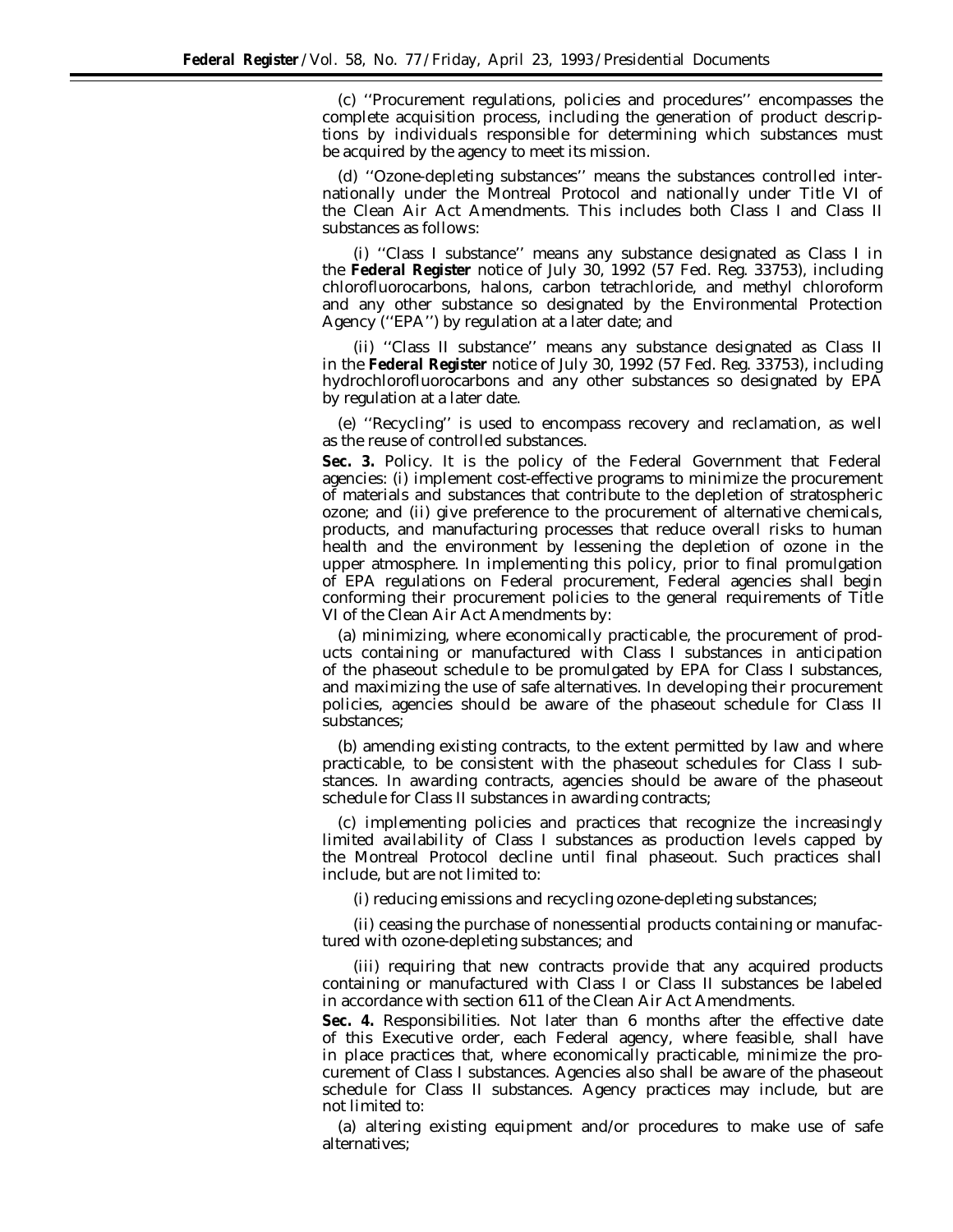(c) ''Procurement regulations, policies and procedures'' encompasses the complete acquisition process, including the generation of product descriptions by individuals responsible for determining which substances must be acquired by the agency to meet its mission.

(d) ''Ozone-depleting substances'' means the substances controlled internationally under the Montreal Protocol and nationally under Title VI of the Clean Air Act Amendments. This includes both Class I and Class II substances as follows:

(i) ''Class I substance'' means any substance designated as Class I in the **Federal Register** notice of July 30, 1992 (57 Fed. Reg. 33753), including chlorofluorocarbons, halons, carbon tetrachloride, and methyl chloroform and any other substance so designated by the Environmental Protection Agency (''EPA'') by regulation at a later date; and

(ii) ''Class II substance'' means any substance designated as Class II in the **Federal Register** notice of July 30, 1992 (57 Fed. Reg. 33753), including hydrochlorofluorocarbons and any other substances so designated by EPA by regulation at a later date.

(e) ''Recycling'' is used to encompass recovery and reclamation, as well as the reuse of controlled substances.

**Sec. 3.** *Policy.* It is the policy of the Federal Government that Federal agencies: (i) implement cost-effective programs to minimize the procurement of materials and substances that contribute to the depletion of stratospheric ozone; and (ii) give preference to the procurement of alternative chemicals, products, and manufacturing processes that reduce overall risks to human health and the environment by lessening the depletion of ozone in the upper atmosphere. In implementing this policy, prior to final promulgation of EPA regulations on Federal procurement, Federal agencies shall begin conforming their procurement policies to the general requirements of Title VI of the Clean Air Act Amendments by:

(a) minimizing, where economically practicable, the procurement of products containing or manufactured with Class I substances in anticipation of the phaseout schedule to be promulgated by EPA for Class I substances, and maximizing the use of safe alternatives. In developing their procurement policies, agencies should be aware of the phaseout schedule for Class II substances;

(b) amending existing contracts, to the extent permitted by law and where practicable, to be consistent with the phaseout schedules for Class I substances. In awarding contracts, agencies should be aware of the phaseout schedule for Class II substances in awarding contracts;

(c) implementing policies and practices that recognize the increasingly limited availability of Class I substances as production levels capped by the Montreal Protocol decline until final phaseout. Such practices shall include, but are not limited to:

(i) reducing emissions and recycling ozone-depleting substances;

(ii) ceasing the purchase of nonessential products containing or manufactured with ozone-depleting substances; and

(iii) requiring that new contracts provide that any acquired products containing or manufactured with Class I or Class II substances be labeled in accordance with section 611 of the Clean Air Act Amendments.

**Sec. 4.** *Responsibilities.* Not later than 6 months after the effective date of this Executive order, each Federal agency, where feasible, shall have in place practices that, where economically practicable, minimize the procurement of Class I substances. Agencies also shall be aware of the phaseout schedule for Class II substances. Agency practices may include, but are not limited to:

(a) altering existing equipment and/or procedures to make use of safe alternatives;